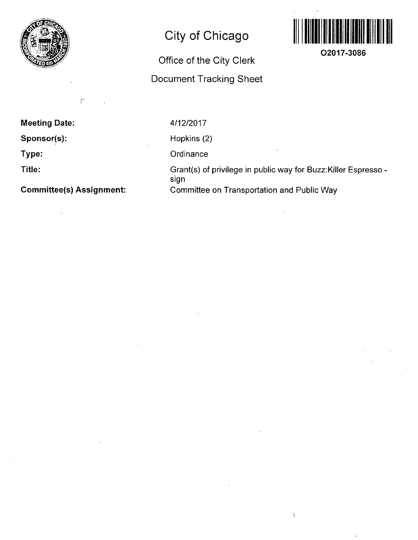

 $\sqrt{ }$ 

**Meeting Date:** 

**Sponsor(s):** 

**Type:** 

**Title:** 

**Committee(s) Assignment:** 

## **City of Chicago**

## Office of the City Clerk

## Document Tracking Sheet



Hopkins (2)

**Ordinance** 

Grant(s) of privilege in public way for Buzz:Killer Espresso sign Committee on Transportation and Public Way

 $\bar{\lambda}$ 



**O2017-3086**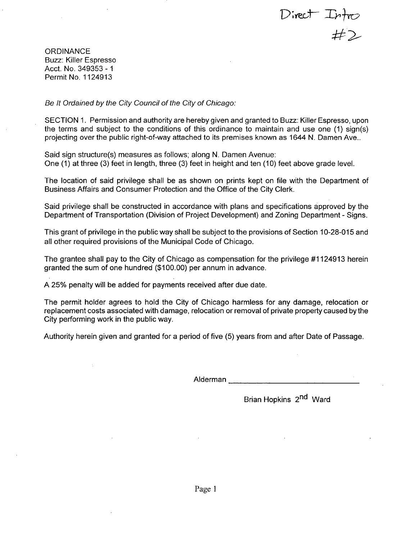Direct Intro<br>#2

**ORDINANCE** Buzz: Killer Espresso Acct. No. 349353 - 1 Permit No. 1124913

*Se It Ordained by the City Council of the City of Chicago:* 

SECTION 1. Permission and authority are hereby given and granted to Buzz: Killer Espresso, upon the terms and subject to the conditions of this ordinance to maintain and use one (1) sign(s) projecting over the public right-of-way attached to its premises known as 1644 N. Damen Ave..

Said sign structure(s) measures as follows; along N. Damen Avenue: One (1) at three (3) feet in length, three (3) feet in height and ten (10) feet above grade level.

The location of said privilege shall be as shown on prints kept on file with the Department of Business Affairs and Consumer Protection and the Office of the City Clerk.

Said privilege shall be constructed in accordance with plans and specifications approved by the Department of Transportation (Division of Project Development) and Zoning Department - Signs.

This grant of privilege in the public way shall be subject to the provisions of Section 10-28-015 and all other required provisions of the Municipal Code of Chicago.

The grantee shall pay to the City of Chicago as compensation for the privilege #1124913 herein granted the sum of one hundred (\$100.00) per annum in advance.

A 25% penalty will be added for payments received after due date.

The permit holder agrees to hold the City of Chicago harmless for any damage, relocation or replacement costs associated with damage, relocation or removal of private property caused bythe City performing work in the public way.

Authority herein given and granted for a period offive (5) years from and after Date of Passage.

Alderman

Brian Hopkins 2<sup>nd</sup> Ward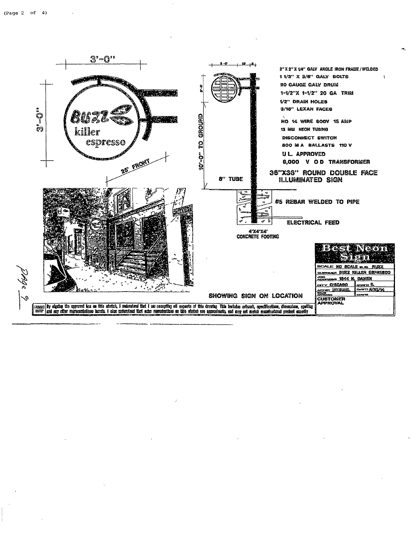